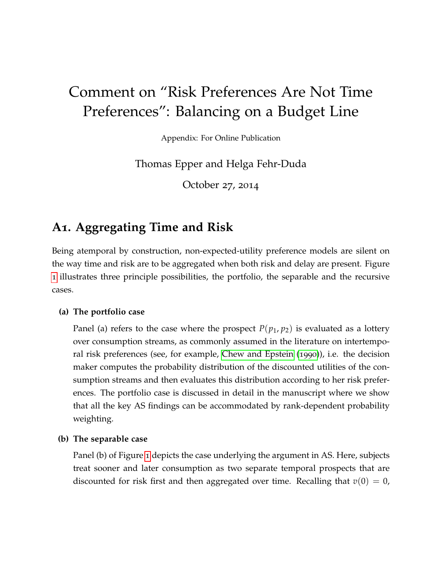# Comment on "Risk Preferences Are Not Time Preferences": Balancing on a Budget Line

Appendix: For Online Publication

Thomas Epper and Helga Fehr-Duda

October 27, 2014

## **A1. Aggregating Time and Risk**

Being atemporal by construction, non-expected-utility preference models are silent on the way time and risk are to be aggregated when both risk and delay are present. Figure [1](#page-1-0) illustrates three principle possibilities, the portfolio, the separable and the recursive cases.

#### **(a) The portfolio case**

Panel (a) refers to the case where the prospect  $P(p_1, p_2)$  is evaluated as a lottery over consumption streams, as commonly assumed in the literature on intertemporal risk preferences (see, for example, [Chew and Epstein](#page-8-0) ([1990](#page-8-0))), i.e. the decision maker computes the probability distribution of the discounted utilities of the consumption streams and then evaluates this distribution according to her risk preferences. The portfolio case is discussed in detail in the manuscript where we show that all the key AS findings can be accommodated by rank-dependent probability weighting.

#### **(b) The separable case**

Panel (b) of Figure [1](#page-1-0) depicts the case underlying the argument in AS. Here, subjects treat sooner and later consumption as two separate temporal prospects that are discounted for risk first and then aggregated over time. Recalling that  $v(0) = 0$ ,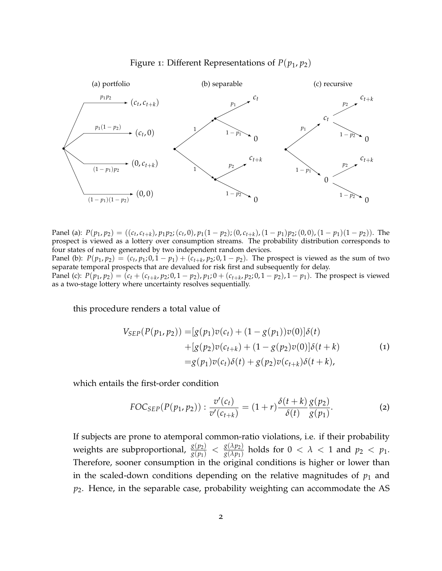<span id="page-1-0"></span>



Panel (a):  $P(p_1, p_2) = ((c_t, c_{t+k}), p_1 p_2; (c_t, 0), p_1(1-p_2); (0, c_{t+k}), (1-p_1)p_2; (0, 0), (1-p_1)(1-p_2)).$  The prospect is viewed as a lottery over consumption streams. The probability distribution corresponds to four states of nature generated by two independent random devices. Panel (b):  $P(p_1, p_2) = (c_t, p_1; 0, 1 - p_1) + (c_{t+k}, p_2; 0, 1 - p_2)$ . The prospect is viewed as the sum of two

separate temporal prospects that are devalued for risk first and subsequently for delay. Panel (c):  $P(p_1, p_2) = (c_t + (c_{t+k}, p_2, 0, 1-p_2), p_1, 0 + (c_{t+k}, p_2, 0, 1-p_2), 1-p_1)$ . The prospect is viewed as a two-stage lottery where uncertainty resolves sequentially.

<span id="page-1-1"></span>this procedure renders a total value of

$$
V_{SEP}(P(p_1, p_2)) = [g(p_1)v(c_t) + (1 - g(p_1))v(0)]\delta(t)
$$
  
+ 
$$
[g(p_2)v(c_{t+k}) + (1 - g(p_2)v(0)]\delta(t+k)
$$
  
= 
$$
g(p_1)v(c_t)\delta(t) + g(p_2)v(c_{t+k})\delta(t+k),
$$
 (1)

which entails the first-order condition

$$
FOC_{SEP}(P(p_1, p_2)) : \frac{v'(c_t)}{v'(c_{t+k})} = (1+r)\frac{\delta(t+k)}{\delta(t)}\frac{g(p_2)}{g(p_1)}.
$$
 (2)

If subjects are prone to atemporal common-ratio violations, i.e. if their probability weights are subproportional,  $\frac{g(p_2)}{g(p_1)} < \frac{g(\lambda p_2)}{g(\lambda p_1)}$  $\frac{g(\Delta p_2)}{g(\lambda p_1)}$  holds for  $0 < \lambda < 1$  and  $p_2 < p_1$ . Therefore, sooner consumption in the original conditions is higher or lower than in the scaled-down conditions depending on the relative magnitudes of  $p_1$  and *p*2. Hence, in the separable case, probability weighting can accommodate the AS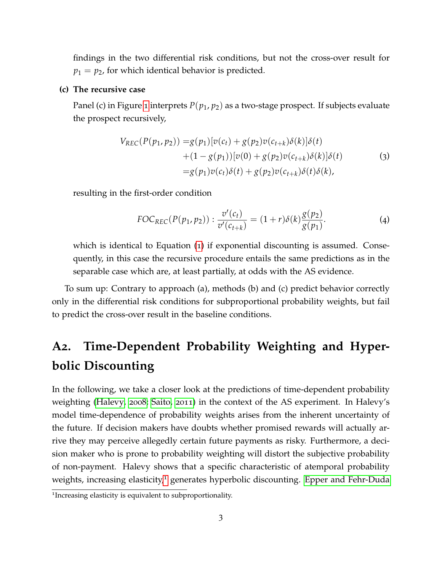findings in the two differential risk conditions, but not the cross-over result for  $p_1 = p_2$ , for which identical behavior is predicted.

#### **(c) The recursive case**

Panel (c) in Figure [1](#page-1-0) interprets *P*(*p*1, *p*2) as a two-stage prospect. If subjects evaluate the prospect recursively,

$$
V_{REC}(P(p_1, p_2)) = g(p_1)[v(c_t) + g(p_2)v(c_{t+k})\delta(k)]\delta(t) + (1 - g(p_1))[v(0) + g(p_2)v(c_{t+k})\delta(k)]\delta(t) = g(p_1)v(c_t)\delta(t) + g(p_2)v(c_{t+k})\delta(t)\delta(k),
$$
\n(3)

resulting in the first-order condition

$$
FOC_{REC}(P(p_1, p_2)) : \frac{v'(c_t)}{v'(c_{t+k})} = (1+r)\delta(k)\frac{g(p_2)}{g(p_1)}.
$$
 (4)

which is identical to Equation ([1](#page-1-1)) if exponential discounting is assumed. Consequently, in this case the recursive procedure entails the same predictions as in the separable case which are, at least partially, at odds with the AS evidence.

To sum up: Contrary to approach (a), methods (b) and (c) predict behavior correctly only in the differential risk conditions for subproportional probability weights, but fail to predict the cross-over result in the baseline conditions.

## **A2. Time-Dependent Probability Weighting and Hyperbolic Discounting**

In the following, we take a closer look at the predictions of time-dependent probability weighting [\(Halevy,](#page-8-1) [2008](#page-8-1); [Saito,](#page-8-2) [2011](#page-8-2)) in the context of the AS experiment. In Halevy's model time-dependence of probability weights arises from the inherent uncertainty of the future. If decision makers have doubts whether promised rewards will actually arrive they may perceive allegedly certain future payments as risky. Furthermore, a decision maker who is prone to probability weighting will distort the subjective probability of non-payment. Halevy shows that a specific characteristic of atemporal probability weights, increasing elasticity,<sup>[1](#page-2-0)</sup> generates hyperbolic discounting. [Epper and Fehr-Duda](#page-8-3)

<span id="page-2-0"></span><sup>&</sup>lt;sup>1</sup>Increasing elasticity is equivalent to subproportionality.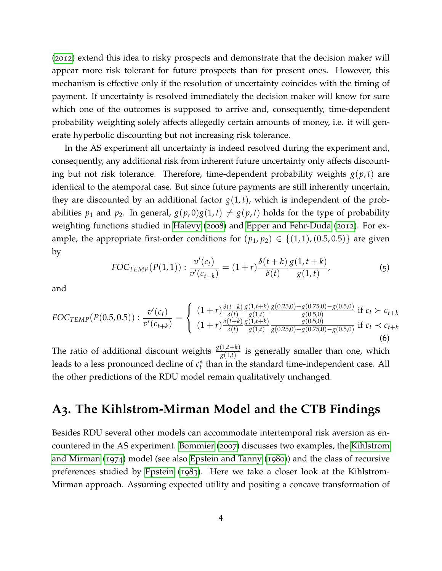([2012](#page-8-3)) extend this idea to risky prospects and demonstrate that the decision maker will appear more risk tolerant for future prospects than for present ones. However, this mechanism is effective only if the resolution of uncertainty coincides with the timing of payment. If uncertainty is resolved immediately the decision maker will know for sure which one of the outcomes is supposed to arrive and, consequently, time-dependent probability weighting solely affects allegedly certain amounts of money, i.e. it will generate hyperbolic discounting but not increasing risk tolerance.

In the AS experiment all uncertainty is indeed resolved during the experiment and, consequently, any additional risk from inherent future uncertainty only affects discounting but not risk tolerance. Therefore, time-dependent probability weights  $g(p, t)$  are identical to the atemporal case. But since future payments are still inherently uncertain, they are discounted by an additional factor  $g(1, t)$ , which is independent of the probabilities  $p_1$  and  $p_2$ . In general,  $g(p, 0)g(1, t) \neq g(p, t)$  holds for the type of probability weighting functions studied in [Halevy](#page-8-1) ([2008](#page-8-1)) and [Epper and Fehr-Duda](#page-8-3) ([2012](#page-8-3)). For example, the appropriate first-order conditions for  $(p_1, p_2) \in \{(1, 1), (0.5, 0.5)\}\)$  are given by

$$
FOC_{TEMP}(P(1,1)) : \frac{v'(c_t)}{v'(c_{t+k})} = (1+r)\frac{\delta(t+k)}{\delta(t)}\frac{g(1,t+k)}{g(1,t)},
$$
\n(5)

and

$$
FOC_{TEMP}(P(0.5, 0.5)) : \frac{v'(c_t)}{v'(c_{t+k})} = \begin{cases} (1+r)\frac{\delta(t+k)}{\delta(t)} \frac{g(1,t+k)}{g(1,t)} \frac{g(0.25,0) + g(0.75,0) - g(0.5,0)}{g(0.5,0)} \text{ if } c_t \succ c_{t+k} \\ (1+r)\frac{\delta(t+k)}{\delta(t)} \frac{g(1,t)}{g(1,t)} \frac{g(0.5,0)}{g(0.25,0) + g(0.75,0) - g(0.5,0)} \text{ if } c_t \prec c_{t+k} \end{cases}
$$
(6)

The ratio of additional discount weights  $\frac{g(1,t+k)}{g(1,t)}$  is generally smaller than one, which leads to a less pronounced decline of *c* ∗ *t* than in the standard time-independent case. All the other predictions of the RDU model remain qualitatively unchanged.

## **A3. The Kihlstrom-Mirman Model and the CTB Findings**

Besides RDU several other models can accommodate intertemporal risk aversion as encountered in the AS experiment. [Bommier](#page-8-4) ([2007](#page-8-4)) discusses two examples, the [Kihlstrom](#page-8-5) [and Mirman](#page-8-5) ([1974](#page-8-5)) model (see also [Epstein and Tanny](#page-8-6) ([1980](#page-8-6))) and the class of recursive preferences studied by [Epstein](#page-8-7) ([1983](#page-8-7)). Here we take a closer look at the Kihlstrom-Mirman approach. Assuming expected utility and positing a concave transformation of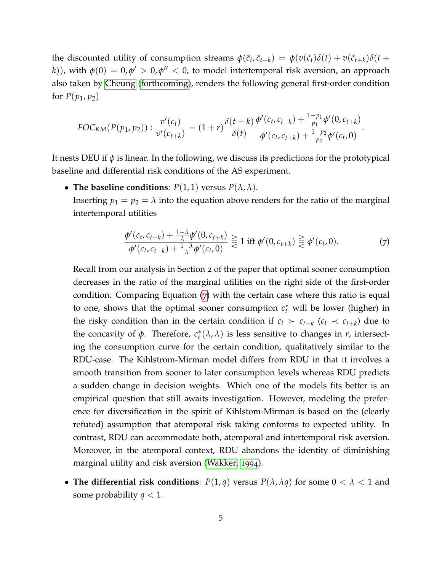the discounted utility of consumption streams  $\phi(\tilde{c}_t, \tilde{c}_{t+k}) = \phi(v(\tilde{c}_t)\delta(t) + v(\tilde{c}_{t+k})\delta(t+$ *k*)), with  $\phi(0)=0$ ,  $\phi'>0$ ,  $\phi''< 0$ , to model intertemporal risk aversion, an approach also taken by [Cheung](#page-8-8) [\(forthcoming\)](#page-8-8), renders the following general first-order condition for  $P(p_1, p_2)$ 

$$
FOC_{KM}(P(p_1, p_2)) : \frac{v'(c_t)}{v'(c_{t+k})} = (1+r)\frac{\delta(t+k)}{\delta(t)} \frac{\phi'(c_t, c_{t+k}) + \frac{1-p_1}{p_1}\phi'(0, c_{t+k})}{\phi'(c_t, c_{t+k}) + \frac{1-p_2}{p_2}\phi'(c_t, 0)}.
$$

It nests DEU if  $\phi$  is linear. In the following, we discuss its predictions for the prototypical baseline and differential risk conditions of the AS experiment.

• The baseline conditions:  $P(1,1)$  versus  $P(\lambda, \lambda)$ .

Inserting  $p_1 = p_2 = \lambda$  into the equation above renders for the ratio of the marginal intertemporal utilities

<span id="page-4-0"></span>
$$
\frac{\phi'(c_t, c_{t+k}) + \frac{1-\lambda}{\lambda} \phi'(0, c_{t+k})}{\phi'(c_t, c_{t+k}) + \frac{1-\lambda}{\lambda} \phi'(c_t, 0)} \geq 1 \text{ iff } \phi'(0, c_{t+k}) \geq \phi'(c_t, 0). \tag{7}
$$

Recall from our analysis in Section 2 of the paper that optimal sooner consumption decreases in the ratio of the marginal utilities on the right side of the first-order condition. Comparing Equation ([7](#page-4-0)) with the certain case where this ratio is equal to one, shows that the optimal sooner consumption  $c_t^*$  will be lower (higher) in the risky condition than in the certain condition if  $c_t$   $\succ$   $c_{t+k}$  ( $c_t$   $\prec$   $c_{t+k}$ ) due to the concavity of  $\phi$ . Therefore,  $c_t^*(\lambda, \lambda)$  is less sensitive to changes in *r*, intersecting the consumption curve for the certain condition, qualitatively similar to the RDU-case. The Kihlstrom-Mirman model differs from RDU in that it involves a smooth transition from sooner to later consumption levels whereas RDU predicts a sudden change in decision weights. Which one of the models fits better is an empirical question that still awaits investigation. However, modeling the preference for diversification in the spirit of Kihlstom-Mirman is based on the (clearly refuted) assumption that atemporal risk taking conforms to expected utility. In contrast, RDU can accommodate both, atemporal and intertemporal risk aversion. Moreover, in the atemporal context, RDU abandons the identity of diminishing marginal utility and risk aversion [\(Wakker,](#page-9-0) [1994](#page-9-0)).

• **The differential risk conditions**:  $P(1,q)$  versus  $P(\lambda, \lambda q)$  for some  $0 < \lambda < 1$  and some probability  $q < 1$ .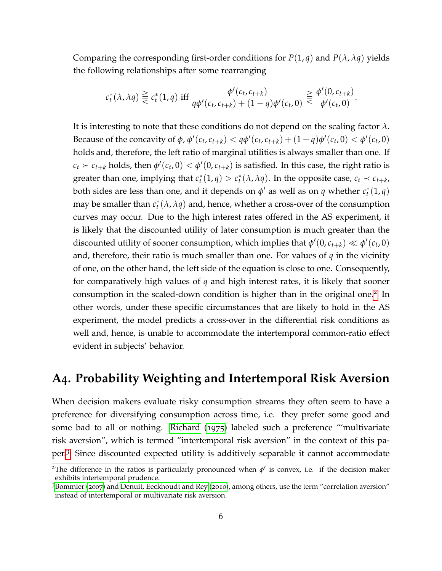Comparing the corresponding first-order conditions for  $P(1, q)$  and  $P(\lambda, \lambda q)$  yields the following relationships after some rearranging

$$
c_t^*(\lambda, \lambda q) \geqq c_t^*(1, q) \text{ iff } \frac{\phi'(c_t, c_{t+k})}{q\phi'(c_t, c_{t+k}) + (1-q)\phi'(c_t, 0)} \geqq \frac{\phi'(0, c_{t+k})}{\phi'(c_t, 0)}.
$$

It is interesting to note that these conditions do not depend on the scaling factor *λ*. Because of the concavity of  $\phi$ ,  $\phi'(c_t, c_{t+k}) < q\phi'(c_t, c_{t+k}) + (1-q)\phi'(c_t, 0) < \phi'(c_t, 0)$ holds and, therefore, the left ratio of marginal utilities is always smaller than one. If  $c_t$   $\succ$   $c_{t+k}$  holds, then  $\phi'(c_t, 0) < \phi'(0, c_{t+k})$  is satisfied. In this case, the right ratio is greater than one, implying that  $c_t^*(1, q) > c_t^*(\lambda, \lambda q)$ . In the opposite case,  $c_t \prec c_{t+k}$ , both sides are less than one, and it depends on  $\phi'$  as well as on *q* whether  $c_t^*(1, q)$ may be smaller than  $c_t^*(\lambda,\lambda q)$  and, hence, whether a cross-over of the consumption curves may occur. Due to the high interest rates offered in the AS experiment, it is likely that the discounted utility of later consumption is much greater than the discounted utility of sooner consumption, which implies that  $\phi'(0, c_{t+k}) \ll \phi'(c_t, 0)$ and, therefore, their ratio is much smaller than one. For values of *q* in the vicinity of one, on the other hand, the left side of the equation is close to one. Consequently, for comparatively high values of *q* and high interest rates, it is likely that sooner consumption in the scaled-down condition is higher than in the original one.<sup>[2](#page-5-0)</sup> In other words, under these specific circumstances that are likely to hold in the AS experiment, the model predicts a cross-over in the differential risk conditions as well and, hence, is unable to accommodate the intertemporal common-ratio effect evident in subjects' behavior.

### **A4. Probability Weighting and Intertemporal Risk Aversion**

When decision makers evaluate risky consumption streams they often seem to have a preference for diversifying consumption across time, i.e. they prefer some good and some bad to all or nothing. [Richard](#page-8-9) ([1975](#page-8-9)) labeled such a preference "'multivariate risk aversion", which is termed "intertemporal risk aversion" in the context of this paper.[3](#page-5-1) Since discounted expected utility is additively separable it cannot accommodate

<span id="page-5-0"></span><sup>&</sup>lt;sup>2</sup>The difference in the ratios is particularly pronounced when  $\phi'$  is convex, i.e. if the decision maker exhibits intertemporal prudence.

<span id="page-5-1"></span><sup>3</sup>[Bommier](#page-8-4) ([2007](#page-8-4)) and [Denuit, Eeckhoudt and Rey](#page-8-10) ([2010](#page-8-10)), among others, use the term "correlation aversion" instead of intertemporal or multivariate risk aversion.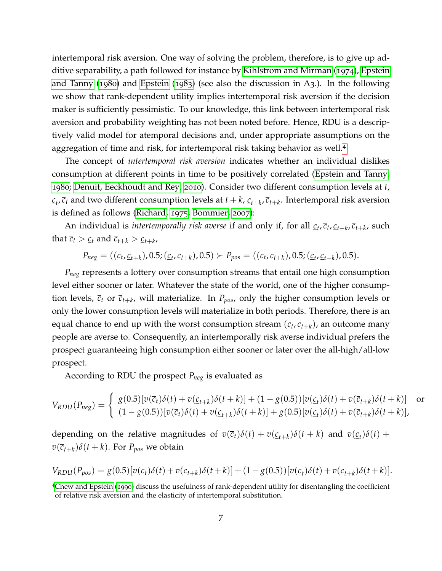intertemporal risk aversion. One way of solving the problem, therefore, is to give up additive separability, a path followed for instance by [Kihlstrom and Mirman](#page-8-5) ([1974](#page-8-5)), [Epstein](#page-8-6) [and Tanny](#page-8-6) ([1980](#page-8-6)) and [Epstein](#page-8-7) ([1983](#page-8-7)) (see also the discussion in A3.). In the following we show that rank-dependent utility implies intertemporal risk aversion if the decision maker is sufficiently pessimistic. To our knowledge, this link between intertemporal risk aversion and probability weighting has not been noted before. Hence, RDU is a descriptively valid model for atemporal decisions and, under appropriate assumptions on the aggregation of time and risk, for intertemporal risk taking behavior as well.[4](#page-6-0)

The concept of *intertemporal risk aversion* indicates whether an individual dislikes consumption at different points in time to be positively correlated [\(Epstein and Tanny,](#page-8-6) [1980](#page-8-6); [Denuit, Eeckhoudt and Rey,](#page-8-10) [2010](#page-8-10)). Consider two different consumption levels at *t*,  $c_t$ ,  $\overline{c}_t$  and two different consumption levels at  $t+k$ ,  $c_{t+k}$ ,  $\overline{c}_{t+k}$ . Intertemporal risk aversion is defined as follows [\(Richard,](#page-8-9) [1975](#page-8-9); [Bommier,](#page-8-4) [2007](#page-8-4)):

An individual is *intertemporally risk averse* if and only if, for all  $_{\mathcal{L}_t}$ ,  $_{\bar{c}_t}$ ,  $_{\mathcal{L}_t}$ ,  $_{\bar{c}_t}$ , such that  $\overline{c}_t > \underline{c}_t$  and  $\overline{c}_{t+k} > \underline{c}_{t+k}$ 

 $P_{neg} = ((\overline{c}_t, \underline{c}_{t+k}), 0.5; (\underline{c}_t, \overline{c}_{t+k}), 0.5) \succ P_{pos} = ((\overline{c}_t, \overline{c}_{t+k}), 0.5; (\underline{c}_t, \underline{c}_{t+k}), 0.5).$ 

*Pneg* represents a lottery over consumption streams that entail one high consumption level either sooner or later. Whatever the state of the world, one of the higher consumption levels,  $\bar{c}_t$  or  $\bar{c}_{t+k}$ , will materialize. In  $P_{pos}$ , only the higher consumption levels or only the lower consumption levels will materialize in both periods. Therefore, there is an equal chance to end up with the worst consumption stream  $(\underline{c}_t, \underline{c}_{t+k})$ , an outcome many people are averse to. Consequently, an intertemporally risk averse individual prefers the prospect guaranteeing high consumption either sooner or later over the all-high/all-low prospect.

According to RDU the prospect *Pneg* is evaluated as

$$
V_{RDU}(P_{neg}) = \begin{cases} g(0.5)[v(\overline{c}_{t})\delta(t) + v(\underline{c}_{t+k})\delta(t+k)] + (1 - g(0.5))[v(\underline{c}_{t})\delta(t) + v(\overline{c}_{t+k})\delta(t+k)] & \text{or} \\ (1 - g(0.5))[v(\overline{c}_{t})\delta(t) + v(\underline{c}_{t+k})\delta(t+k)] + g(0.5)[v(\underline{c}_{t})\delta(t) + v(\overline{c}_{t+k})\delta(t+k)], \end{cases}
$$

depending on the relative magnitudes of  $v(\overline{c}_t)\delta(t) + v(\underline{c}_{t+k})\delta(t+k)$  and  $v(\underline{c}_t)\delta(t) +$  $v(\overline{c}_{t+k})\delta(t+k)$ . For  $P_{pos}$  we obtain

$$
V_{RDU}(P_{pos}) = g(0.5)[v(\overline{c}_t)\delta(t) + v(\overline{c}_{t+k})\delta(t+k)] + (1 - g(0.5))[v(\underline{c}_t)\delta(t) + v(\underline{c}_{t+k})\delta(t+k)].
$$

<span id="page-6-0"></span><sup>4</sup>[Chew and Epstein](#page-8-0) ([1990](#page-8-0)) discuss the usefulness of rank-dependent utility for disentangling the coefficient of relative risk aversion and the elasticity of intertemporal substitution.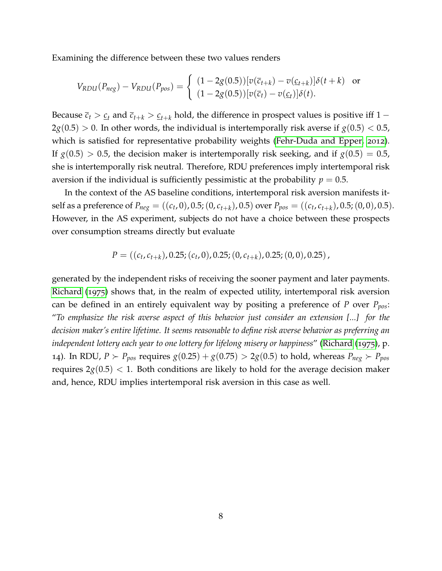Examining the difference between these two values renders

$$
V_{RDU}(P_{neg}) - V_{RDU}(P_{pos}) = \begin{cases} (1 - 2g(0.5)) [v(\overline{c}_{t+k}) - v(\underline{c}_{t+k})] \delta(t+k) & \text{or} \\ (1 - 2g(0.5)) [v(\overline{c}_{t}) - v(\underline{c}_{t})] \delta(t). \end{cases}
$$

Because  $\bar{c}_t > \underline{c}_t$  and  $\bar{c}_{t+k} > \underline{c}_{t+k}$  hold, the difference in prospect values is positive iff 1 −  $2g(0.5) > 0$ . In other words, the individual is intertemporally risk averse if  $g(0.5) < 0.5$ , which is satisfied for representative probability weights [\(Fehr-Duda and Epper,](#page-8-11) [2012](#page-8-11)). If  $g(0.5) > 0.5$ , the decision maker is intertemporally risk seeking, and if  $g(0.5) = 0.5$ , she is intertemporally risk neutral. Therefore, RDU preferences imply intertemporal risk aversion if the individual is sufficiently pessimistic at the probability  $p = 0.5$ .

In the context of the AS baseline conditions, intertemporal risk aversion manifests itself as a preference of  $P_{neg} = ((c_t, 0), 0.5; (0, c_{t+k}), 0.5)$  over  $P_{pos} = ((c_t, c_{t+k}), 0.5; (0, 0), 0.5)$ . However, in the AS experiment, subjects do not have a choice between these prospects over consumption streams directly but evaluate

$$
P = ((c_t, c_{t+k}), 0.25; (c_t, 0), 0.25; (0, c_{t+k}), 0.25; (0, 0), 0.25),
$$

generated by the independent risks of receiving the sooner payment and later payments. [Richard](#page-8-9) ([1975](#page-8-9)) shows that, in the realm of expected utility, intertemporal risk aversion can be defined in an entirely equivalent way by positing a preference of *P* over *Ppos*: "*To emphasize the risk averse aspect of this behavior just consider an extension [...] for the decision maker's entire lifetime. It seems reasonable to define risk averse behavior as preferring an independent lottery each year to one lottery for lifelong misery or happiness*" [\(Richard](#page-8-9) ([1975](#page-8-9)), p. 14). In RDU,  $P \succ P_{pos}$  requires  $g(0.25) + g(0.75) > 2g(0.5)$  to hold, whereas  $P_{neg} \succ P_{pos}$ requires  $2g(0.5)$  < 1. Both conditions are likely to hold for the average decision maker and, hence, RDU implies intertemporal risk aversion in this case as well.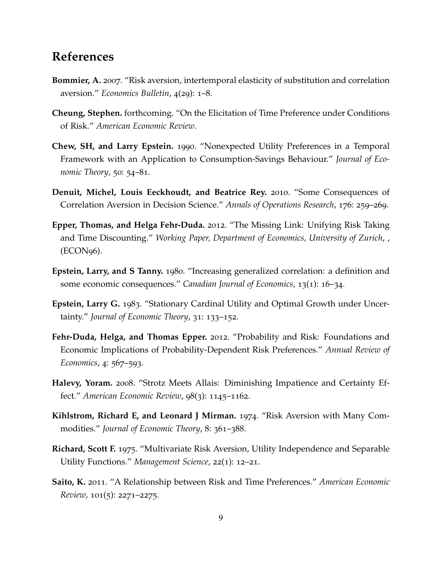## **References**

- <span id="page-8-4"></span>**Bommier, A.** 2007. "Risk aversion, intertemporal elasticity of substitution and correlation aversion." *Economics Bulletin*, 4(29): 1–8.
- <span id="page-8-8"></span>**Cheung, Stephen.** forthcoming. "On the Elicitation of Time Preference under Conditions of Risk." *American Economic Review*.
- <span id="page-8-0"></span>**Chew, SH, and Larry Epstein.** 1990. "Nonexpected Utility Preferences in a Temporal Framework with an Application to Consumption-Savings Behaviour." *Journal of Economic Theory*, 50: 54–81.
- <span id="page-8-10"></span>**Denuit, Michel, Louis Eeckhoudt, and Beatrice Rey.** 2010. "Some Consequences of Correlation Aversion in Decision Science." *Annals of Operations Research*, 176: 259–269.
- <span id="page-8-3"></span>**Epper, Thomas, and Helga Fehr-Duda.** 2012. "The Missing Link: Unifying Risk Taking and Time Discounting." *Working Paper, Department of Economics, University of Zurich*, , (ECON96).
- <span id="page-8-6"></span>**Epstein, Larry, and S Tanny.** 1980. "Increasing generalized correlation: a definition and some economic consequences." *Canadian Journal of Economics*, 13(1): 16–34.
- <span id="page-8-7"></span>**Epstein, Larry G.** 1983. "Stationary Cardinal Utility and Optimal Growth under Uncertainty." *Journal of Economic Theory*, 31: 133–152.
- <span id="page-8-11"></span>**Fehr-Duda, Helga, and Thomas Epper.** 2012. "Probability and Risk: Foundations and Economic Implications of Probability-Dependent Risk Preferences." *Annual Review of Economics*, 4: 567–593.
- <span id="page-8-1"></span>**Halevy, Yoram.** 2008. "Strotz Meets Allais: Diminishing Impatience and Certainty Effect." *American Economic Review*, 98(3): 1145–1162.
- <span id="page-8-5"></span>**Kihlstrom, Richard E, and Leonard J Mirman.** 1974. "Risk Aversion with Many Commodities." *Journal of Economic Theory*, 8: 361–388.
- <span id="page-8-9"></span>**Richard, Scott F.** 1975. "Multivariate Risk Aversion, Utility Independence and Separable Utility Functions." *Management Science*, 22(1): 12–21.
- <span id="page-8-2"></span>**Saito, K.** 2011. "A Relationship between Risk and Time Preferences." *American Economic Review*, 101(5): 2271–2275.